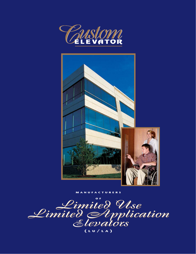



**MANUFACTURERS**

*Limited Use Limited Application Elevators Limited Use Limited Application Elevators Limited Use Limited Application Elevators* **O F ( L U / L A )**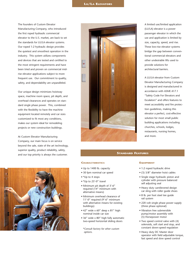#### **LU/LA ELEVATORS**

The founders of Custom Elevator Manufacturing Company, who introduced the first roped hydraulic commercial elevator to the U.S. market, are back to set the standards for LU/LA elevator systems. Our roped 1:2 hydraulic design provides the quietest and smoothest operation in the industry. This system utilizes components and devices that are tested and certified to the most stringent requirements and have been tried and proven on commercial midrise elevator applications subject to more frequent use. Our commitment to quality, safety, and dependability are unparalleled.

Our unique design minimizes hoistway space, machine room space, pit depth, and overhead clearances and operates on standard single phase power. This, combined with the flexibility to have the machine equipment located remotely and car sizes customized to fit most any conditions, makes our system ideal for remodeling projects or new construction buildings.

At Custom Elevator Manufacturing Company, our main focus is on service beyond the sale, state of the art technology, superior quality, product reliability, safety, and our top priority is always the customer.





A limited use/limited application (LU/LA) elevator is a power passenger elevator in which the use and application is limited by size, capacity, speed, and rise. These low-rise elevator systems bridge the gap between conventional commercial elevators and other undesirable lifts used to provide solutions for architectural barriers.

A LU/LA elevator from Custom Elevator Manufacturing Company is designed and manufactured in accordance with ASME A17.1 "Safety Code For Elevators and Escalators" and offers features to meet accessibility and fire protection guidelines, making this elevator a perfect, cost-effective solution for most small public building applications including churches, schools, lodges, restaurants, nursing homes, and more.

# **STANDARD FEATURES**

## **CHARACTERISTICS**

- Up to 1400 lb. capacity
- 30 fpm nominal car speed
- \*Up to 4 stops
- \*Up to 25'-0" travel
- Minimum pit depth of 3'-6" required (14" minimum with alternative means)
- Minimum overhead clearance of 11'-0" required (9'-6" minimum with alternative means for existing buildings)
- 42" wide x 60" deep x 81" high nominal inside car size
- 36" wide x 80" high fully automatic two-speed horizontal sliding doors
	- \**Consult factory for other custom options.*

#### **EQUIPMENT**

- 1:2 roped hydraulic drive
- (3) 3/8" diameter hoist cables
- Single stage hydraulic piston and cylinder with pressure balanced self adjusting seal
- Heavy duty cantilevered design car sling with roller guide shoes
- 8 lb. per foot steel tee guide rail system
- 220 volt single phase power supply (three phase optional)
- Vibration free submersible pump/motor assembly with (5) Horsepower motor
- Two speed control valve with (4) solenoids, soft start and stop, and constant down-speed regulation
- Heavy duty DC Master door operator with field adjustable torque, fast speed and slow speed control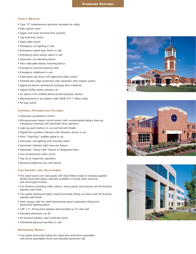### **SAFETY DEVICES**

- Type "A" instantaneous governor actuated car safety
- Pipe rupture valve
- Upper and lower terminal limit switches
- Top final limit switch
- Slack cable switch
- Emergency car lighting in cab
- Emergency keyed stop switch in cab
- Emergency push button alarm in cab
- Automatic car releveling device
- Floor selectable battery lowering device
- Emergency manual lowering valve
- Emergency telephone in cab
- Solid panel cab doors with approved safety switch
- Infrared door edge protection with automatic door reopen system
- Approved electro-mechanical hoistway door interlocks
- Impact buffers below elevator car
- UL and/or CSA certified electrical and hydraulic devices
- Manufactured in accordance with ASME A17.1 Safety Code
- Pit stop switch

## **CONTROL/PUSHBUTTON FIXTURES**

- Automatic pushbutton control
- Microprocessor based control system with uninterrupted battery back-up emergency lowering with automatic door operation
- Light-up push buttons in car and hall with Braille
- Digital floor position indicator with direction arrows in car
- Floor "Stop/Pass" audible signal in car
- Automatic cab lighting with override switch
- Automatic indicator light time-out feature
- Automatic "Home Park" feature to designated floor
- Low oil protection timer circuit
- Top of car inspection operation
- Recessed telephone box with phone

#### **CAB FINISHES AND ACCESSORIES**

- Fire rated wood core wall panels with black filled reveals to simulate applied panels faced with plastic laminate available in several solid, textured, and wood grain finishes
- Car entrance including strike column, return panel, and transom are #4 brushed stainless steel finish
- Two speed reinforced hollow metal horizontal sliding car doors with #4 brushed stainless steel finish
- Steel canopy with fire rated thermoclear panel suspended ceiling and fluorescent lighting above
- 3/8" x 2" #4 brushed stainless steel handrail on (1) side wall
- Extruded aluminum car sill
- #4 brushed stainless steel certificate frame
- Unfinished plywood sub-floor in cab

## **Hoistway Doors**

• Two speed horizontal sliding fire rated door and frame assemblies with prime (paintable) finish and extruded aluminum sills